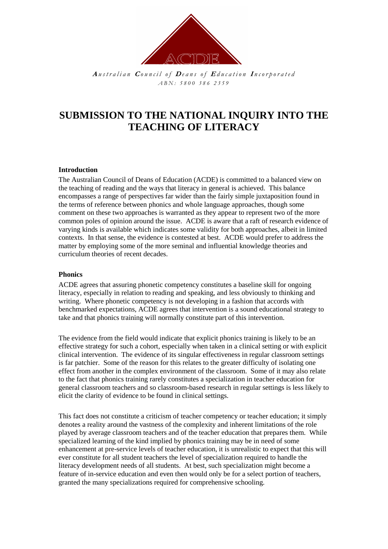

**A** *u s t r a l i a n* **<sup>C</sup>** *o u n c i l o f* **<sup>D</sup>** *e a n s o f* **<sup>E</sup>** *d u c a t i o n* **<sup>I</sup>** *n c o r p o r a t e d A B N : 5 8 0 0 3 8 6 2 3 5 9*

# **SUBMISSION TO THE NATIONAL INQUIRY INTO THE TEACHING OF LITERACY**

# **Introduction**

The Australian Council of Deans of Education (ACDE) is committed to a balanced view on the teaching of reading and the ways that literacy in general is achieved. This balance encompasses a range of perspectives far wider than the fairly simple juxtaposition found in the terms of reference between phonics and whole language approaches, though some comment on these two approaches is warranted as they appear to represent two of the more common poles of opinion around the issue. ACDE is aware that a raft of research evidence of varying kinds is available which indicates some validity for both approaches, albeit in limited contexts. In that sense, the evidence is contested at best. ACDE would prefer to address the matter by employing some of the more seminal and influential knowledge theories and curriculum theories of recent decades.

# **Phonics**

ACDE agrees that assuring phonetic competency constitutes a baseline skill for ongoing literacy, especially in relation to reading and speaking, and less obviously to thinking and writing. Where phonetic competency is not developing in a fashion that accords with benchmarked expectations, ACDE agrees that intervention is a sound educational strategy to take and that phonics training will normally constitute part of this intervention.

The evidence from the field would indicate that explicit phonics training is likely to be an effective strategy for such a cohort, especially when taken in a clinical setting or with explicit clinical intervention. The evidence of its singular effectiveness in regular classroom settings is far patchier. Some of the reason for this relates to the greater difficulty of isolating one effect from another in the complex environment of the classroom. Some of it may also relate to the fact that phonics training rarely constitutes a specialization in teacher education for general classroom teachers and so classroom-based research in regular settings is less likely to elicit the clarity of evidence to be found in clinical settings.

This fact does not constitute a criticism of teacher competency or teacher education; it simply denotes a reality around the vastness of the complexity and inherent limitations of the role played by average classroom teachers and of the teacher education that prepares them. While specialized learning of the kind implied by phonics training may be in need of some enhancement at pre-service levels of teacher education, it is unrealistic to expect that this will ever constitute for all student teachers the level of specialization required to handle the literacy development needs of all students. At best, such specialization might become a feature of in-service education and even then would only be for a select portion of teachers, granted the many specializations required for comprehensive schooling.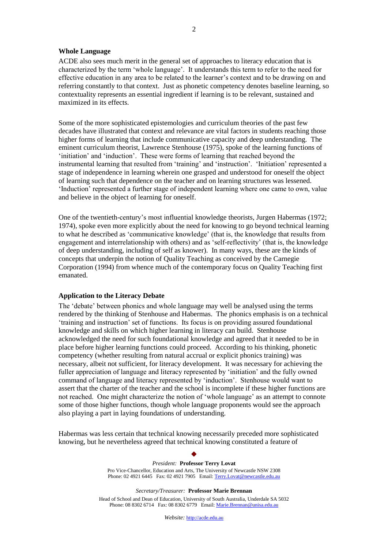## **Whole Language**

ACDE also sees much merit in the general set of approaches to literacy education that is characterized by the term 'whole language'. It understands this term to refer to the need for effective education in any area to be related to the learner's context and to be drawing on and referring constantly to that context. Just as phonetic competency denotes baseline learning, so contextuality represents an essential ingredient if learning is to be relevant, sustained and maximized in its effects.

Some of the more sophisticated epistemologies and curriculum theories of the past few decades have illustrated that context and relevance are vital factors in students reaching those higher forms of learning that include communicative capacity and deep understanding. The eminent curriculum theorist, Lawrence Stenhouse (1975), spoke of the learning functions of 'initiation' and 'induction'. These were forms of learning that reached beyond the instrumental learning that resulted from 'training' and 'instruction'. 'Initiation' represented a stage of independence in learning wherein one grasped and understood for oneself the object of learning such that dependence on the teacher and on learning structures was lessened. 'Induction' represented a further stage of independent learning where one came to own, value and believe in the object of learning for oneself.

One of the twentieth-century's most influential knowledge theorists, Jurgen Habermas (1972; 1974), spoke even more explicitly about the need for knowing to go beyond technical learning to what he described as 'communicative knowledge' (that is, the knowledge that results from engagement and interrelationship with others) and as 'self-reflectivity' (that is, the knowledge of deep understanding, including of self as knower). In many ways, these are the kinds of concepts that underpin the notion of Quality Teaching as conceived by the Carnegie Corporation (1994) from whence much of the contemporary focus on Quality Teaching first emanated.

## **Application to the Literacy Debate**

The 'debate' between phonics and whole language may well be analysed using the terms rendered by the thinking of Stenhouse and Habermas. The phonics emphasis is on a technical 'training and instruction' set of functions. Its focus is on providing assured foundational knowledge and skills on which higher learning in literacy can build. Stenhouse acknowledged the need for such foundational knowledge and agreed that it needed to be in place before higher learning functions could proceed. According to his thinking, phonetic competency (whether resulting from natural accrual or explicit phonics training) was necessary, albeit not sufficient, for literacy development. It was necessary for achieving the fuller appreciation of language and literacy represented by 'initiation' and the fully owned command of language and literacy represented by 'induction'. Stenhouse would want to assert that the charter of the teacher and the school is incomplete if these higher functions are not reached. One might characterize the notion of 'whole language' as an attempt to connote some of those higher functions, though whole language proponents would see the approach also playing a part in laying foundations of understanding.

Habermas was less certain that technical knowing necessarily preceded more sophisticated knowing, but he nevertheless agreed that technical knowing constituted a feature of

> *President:* **Professor Terry Lovat** Pro Vice-Chancellor, Education and Arts, The University of Newcastle NSW 2308 Phone: 02 4921 6445 Fax: 02 4921 7905 Email: Terry.Lovat@newcastle.edu.au

 $\blacklozenge$ 

*Secretary/Treasurer:* **Professor Marie Brennan**

Head of School and Dean of Education, University of South Australia, Underdale SA 5032 Phone: 08 8302 6714 Fax: 08 8302 6779 Email: Marie.Brennan@unisa.edu.au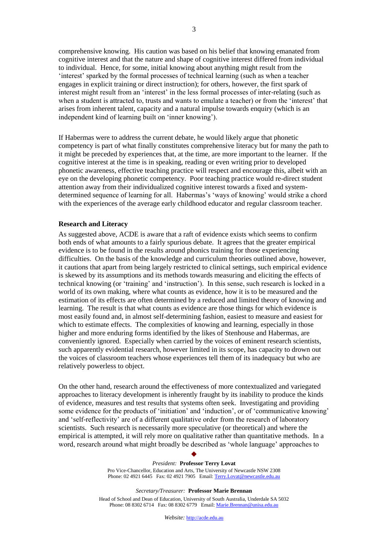comprehensive knowing. His caution was based on his belief that knowing emanated from cognitive interest and that the nature and shape of cognitive interest differed from individual to individual. Hence, for some, initial knowing about anything might result from the 'interest' sparked by the formal processes of technical learning (such as when a teacher engages in explicit training or direct instruction); for others, however, the first spark of interest might result from an 'interest' in the less formal processes of inter-relating (such as when a student is attracted to, trusts and wants to emulate a teacher) or from the 'interest' that arises from inherent talent, capacity and a natural impulse towards enquiry (which is an independent kind of learning built on 'inner knowing').

If Habermas were to address the current debate, he would likely argue that phonetic competency is part of what finally constitutes comprehensive literacy but for many the path to it might be preceded by experiences that, at the time, are more important to the learner. If the cognitive interest at the time is in speaking, reading or even writing prior to developed phonetic awareness, effective teaching practice will respect and encourage this, albeit with an eye on the developing phonetic competency. Poor teaching practice would re-direct student attention away from their individualized cognitive interest towards a fixed and systemdetermined sequence of learning for all. Habermas's 'ways of knowing' would strike a chord with the experiences of the average early childhood educator and regular classroom teacher.

#### **Research and Literacy**

As suggested above, ACDE is aware that a raft of evidence exists which seems to confirm both ends of what amounts to a fairly spurious debate. It agrees that the greater empirical evidence is to be found in the results around phonics training for those experiencing difficulties. On the basis of the knowledge and curriculum theories outlined above, however, it cautions that apart from being largely restricted to clinical settings, such empirical evidence is skewed by its assumptions and its methods towards measuring and eliciting the effects of technical knowing (or 'training' and 'instruction'). In this sense, such research is locked in a world of its own making, where what counts as evidence, how it is to be measured and the estimation of its effects are often determined by a reduced and limited theory of knowing and learning. The result is that what counts as evidence are those things for which evidence is most easily found and, in almost self-determining fashion, easiest to measure and easiest for which to estimate effects. The complexities of knowing and learning, especially in those higher and more enduring forms identified by the likes of Stenhouse and Habermas, are conveniently ignored. Especially when carried by the voices of eminent research scientists, such apparently evidential research, however limited in its scope, has capacity to drown out the voices of classroom teachers whose experiences tell them of its inadequacy but who are relatively powerless to object.

On the other hand, research around the effectiveness of more contextualized and variegated approaches to literacy development is inherently fraught by its inability to produce the kinds of evidence, measures and test results that systems often seek. Investigating and providing some evidence for the products of 'initiation' and 'induction', or of 'communicative knowing' and 'self-reflectivity' are of a different qualitative order from the research of laboratory scientists. Such research is necessarily more speculative (or theoretical) and where the empirical is attempted, it will rely more on qualitative rather than quantitative methods. In a word, research around what might broadly be described as 'whole language' approaches to

> *President:* **Professor Terry Lovat** Pro Vice-Chancellor, Education and Arts, The University of Newcastle NSW 2308 Phone: 02 4921 6445 Fax: 02 4921 7905 Email: Terry.Lovat@newcastle.edu.au

 $\blacklozenge$ 

*Secretary/Treasurer:* **Professor Marie Brennan**

Head of School and Dean of Education, University of South Australia, Underdale SA 5032 Phone: 08 8302 6714 Fax: 08 8302 6779 Email: Marie.Brennan@unisa.edu.au

*Website:* http://acde.edu.au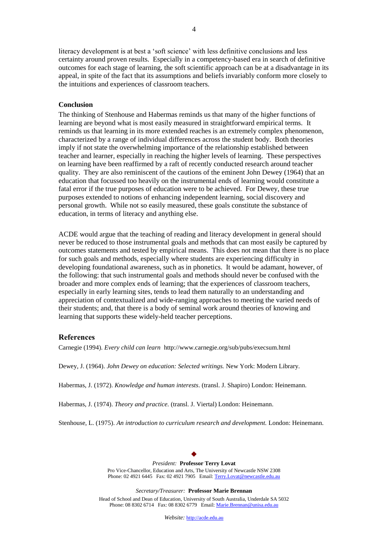literacy development is at best a 'soft science' with less definitive conclusions and less certainty around proven results. Especially in a competency-based era in search of definitive outcomes for each stage of learning, the soft scientific approach can be at a disadvantage in its appeal, in spite of the fact that its assumptions and beliefs invariably conform more closely to the intuitions and experiences of classroom teachers.

## **Conclusion**

The thinking of Stenhouse and Habermas reminds us that many of the higher functions of learning are beyond what is most easily measured in straightforward empirical terms. It reminds us that learning in its more extended reaches is an extremely complex phenomenon, characterized by a range of individual differences across the student body. Both theories imply if not state the overwhelming importance of the relationship established between teacher and learner, especially in reaching the higher levels of learning. These perspectives on learning have been reaffirmed by a raft of recently conducted research around teacher quality. They are also reminiscent of the cautions of the eminent John Dewey (1964) that an education that focussed too heavily on the instrumental ends of learning would constitute a fatal error if the true purposes of education were to be achieved. For Dewey, these true purposes extended to notions of enhancing independent learning, social discovery and personal growth. While not so easily measured, these goals constitute the substance of education, in terms of literacy and anything else.

ACDE would argue that the teaching of reading and literacy development in general should never be reduced to those instrumental goals and methods that can most easily be captured by outcomes statements and tested by empirical means. This does not mean that there is no place for such goals and methods, especially where students are experiencing difficulty in developing foundational awareness, such as in phonetics. It would be adamant, however, of the following: that such instrumental goals and methods should never be confused with the broader and more complex ends of learning; that the experiences of classroom teachers, especially in early learning sites, tends to lead them naturally to an understanding and appreciation of contextualized and wide-ranging approaches to meeting the varied needs of their students; and, that there is a body of seminal work around theories of knowing and learning that supports these widely-held teacher perceptions.

#### **References**

Carnegie (1994). *Every child can learn* http://www.carnegie.org/sub/pubs/execsum.html

Dewey, J. (1964). *John Dewey on education: Selected writings.* New York: Modern Library.

Habermas, J. (1972). *Knowledge and human interests*. (transl. J. Shapiro) London: Heinemann.

Habermas, J. (1974). *Theory and practice.* (transl. J. Viertal) London: Heinemann.

Stenhouse, L. (1975). *An introduction to curriculum research and development.* London: Heinemann.

#### $\blacklozenge$ *President:* **Professor Terry Lovat** Pro Vice-Chancellor, Education and Arts, The University of Newcastle NSW 2308 Phone: 02 4921 6445 Fax: 02 4921 7905 Email: Terry.Lovat@newcastle.edu.au

*Secretary/Treasurer:* **Professor Marie Brennan**

Head of School and Dean of Education, University of South Australia, Underdale SA 5032 Phone: 08 8302 6714 Fax: 08 8302 6779 Email: Marie.Brennan@unisa.edu.au